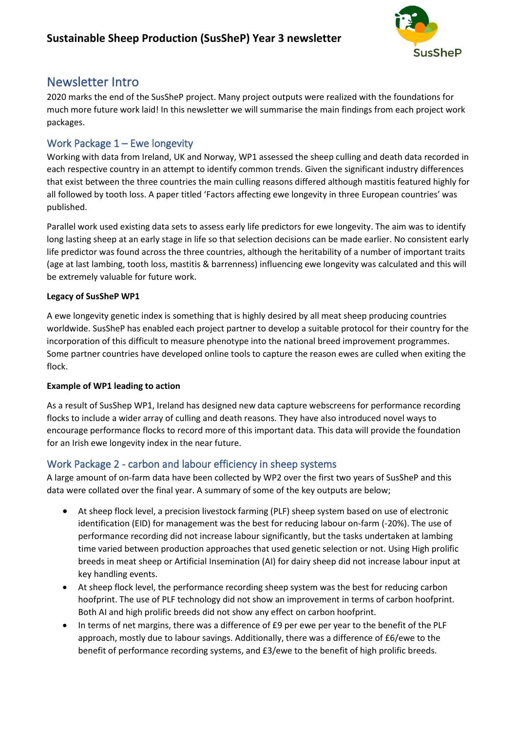

# Newsletter Intro

2020 marks the end of the SusSheP project. Many project outputs were realized with the foundations for much more future work laid! In this newsletter we will summarise the main findings from each project work packages.

### Work Package 1 – Ewe longevity

Working with data from Ireland, UK and Norway, WP1 assessed the sheep culling and death data recorded in each respective country in an attempt to identify common trends. Given the significant industry differences that exist between the three countries the main culling reasons differed although mastitis featured highly for all followed by tooth loss. A paper titled 'Factors affecting ewe longevity in three European countries' was published.

Parallel work used existing data sets to assess early life predictors for ewe longevity. The aim was to identify long lasting sheep at an early stage in life so that selection decisions can be made earlier. No consistent early life predictor was found across the three countries, although the heritability of a number of important traits (age at last lambing, tooth loss, mastitis & barrenness) influencing ewe longevity was calculated and this will be extremely valuable for future work.

#### **Legacy of SusSheP WP1**

A ewe longevity genetic index is something that is highly desired by all meat sheep producing countries worldwide. SusSheP has enabled each project partner to develop a suitable protocol for their country for the incorporation of this difficult to measure phenotype into the national breed improvement programmes. Some partner countries have developed online tools to capture the reason ewes are culled when exiting the flock.

#### **Example of WP1 leading to action**

As a result of SusShep WP1, Ireland has designed new data capture webscreens for performance recording flocks to include a wider array of culling and death reasons. They have also introduced novel ways to encourage performance flocks to record more of this important data. This data will provide the foundation for an Irish ewe longevity index in the near future.

### Work Package 2 - carbon and labour efficiency in sheep systems

A large amount of on-farm data have been collected by WP2 over the first two years of SusSheP and this data were collated over the final year. A summary of some of the key outputs are below;

- At sheep flock level, a precision livestock farming (PLF) sheep system based on use of electronic identification (EID) for management was the best for reducing labour on-farm (-20%). The use of performance recording did not increase labour significantly, but the tasks undertaken at lambing time varied between production approaches that used genetic selection or not. Using High prolific breeds in meat sheep or Artificial Insemination (AI) for dairy sheep did not increase labour input at key handling events.
- At sheep flock level, the performance recording sheep system was the best for reducing carbon hoofprint. The use of PLF technology did not show an improvement in terms of carbon hoofprint. Both AI and high prolific breeds did not show any effect on carbon hoofprint.
- In terms of net margins, there was a difference of £9 per ewe per year to the benefit of the PLF approach, mostly due to labour savings. Additionally, there was a difference of £6/ewe to the benefit of performance recording systems, and £3/ewe to the benefit of high prolific breeds.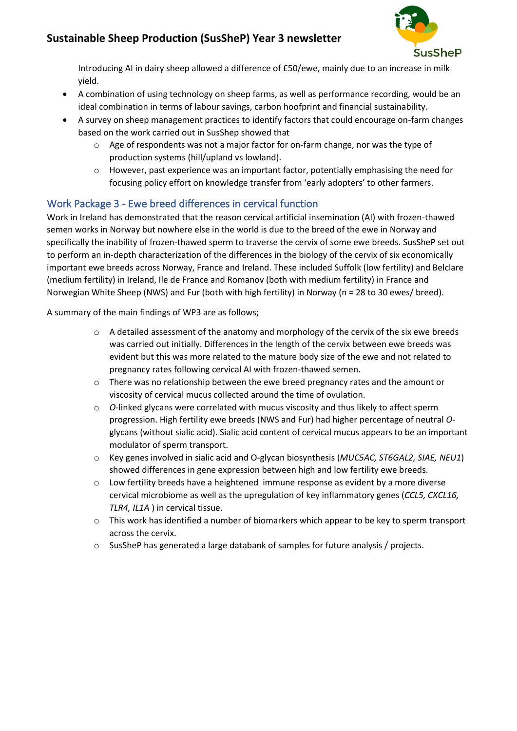# **Sustainable Sheep Production (SusSheP) Year 3 newsletter**



Introducing AI in dairy sheep allowed a difference of £50/ewe, mainly due to an increase in milk yield.

- A combination of using technology on sheep farms, as well as performance recording, would be an ideal combination in terms of labour savings, carbon hoofprint and financial sustainability.
- A survey on sheep management practices to identify factors that could encourage on-farm changes based on the work carried out in SusShep showed that
	- $\circ$  Age of respondents was not a major factor for on-farm change, nor was the type of production systems (hill/upland vs lowland).
	- $\circ$  However, past experience was an important factor, potentially emphasising the need for focusing policy effort on knowledge transfer from 'early adopters' to other farmers.

### Work Package 3 - Ewe breed differences in cervical function

Work in Ireland has demonstrated that the reason cervical artificial insemination (AI) with frozen-thawed semen works in Norway but nowhere else in the world is due to the breed of the ewe in Norway and specifically the inability of frozen-thawed sperm to traverse the cervix of some ewe breeds. SusSheP set out to perform an in-depth characterization of the differences in the biology of the cervix of six economically important ewe breeds across Norway, France and Ireland. These included Suffolk (low fertility) and Belclare (medium fertility) in Ireland, Ile de France and Romanov (both with medium fertility) in France and Norwegian White Sheep (NWS) and Fur (both with high fertility) in Norway (n = 28 to 30 ewes/ breed).

A summary of the main findings of WP3 are as follows;

- $\circ$  A detailed assessment of the anatomy and morphology of the cervix of the six ewe breeds was carried out initially. Differences in the length of the cervix between ewe breeds was evident but this was more related to the mature body size of the ewe and not related to pregnancy rates following cervical AI with frozen-thawed semen.
- $\circ$  There was no relationship between the ewe breed pregnancy rates and the amount or viscosity of cervical mucus collected around the time of ovulation.
- o *O*-linked glycans were correlated with mucus viscosity and thus likely to affect sperm progression. High fertility ewe breeds (NWS and Fur) had higher percentage of neutral *O*glycans (without sialic acid). Sialic acid content of cervical mucus appears to be an important modulator of sperm transport.
- o Key genes involved in sialic acid and O-glycan biosynthesis (*MUC5AC, ST6GAL2, SIAE, NEU1*) showed differences in gene expression between high and low fertility ewe breeds.
- $\circ$  Low fertility breeds have a heightened immune response as evident by a more diverse cervical microbiome as well as the upregulation of key inflammatory genes (*CCL5, CXCL16, TLR4, IL1A* ) in cervical tissue.
- o This work has identified a number of biomarkers which appear to be key to sperm transport across the cervix.
- o SusSheP has generated a large databank of samples for future analysis / projects.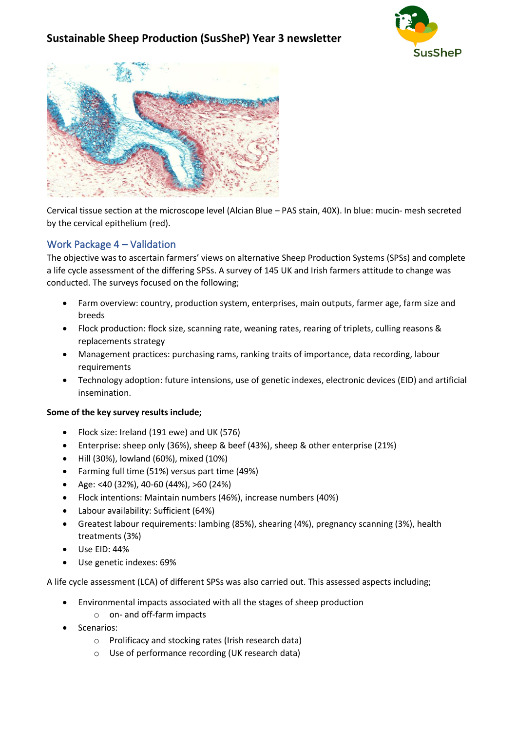## **Sustainable Sheep Production (SusSheP) Year 3 newsletter**





Cervical tissue section at the microscope level (Alcian Blue – PAS stain, 40X). In blue: mucin- mesh secreted by the cervical epithelium (red).

#### Work Package 4 – Validation

The objective was to ascertain farmers' views on alternative Sheep Production Systems (SPSs) and complete a life cycle assessment of the differing SPSs. A survey of 145 UK and Irish farmers attitude to change was conducted. The surveys focused on the following;

- Farm overview: country, production system, enterprises, main outputs, farmer age, farm size and breeds
- Flock production: flock size, scanning rate, weaning rates, rearing of triplets, culling reasons & replacements strategy
- Management practices: purchasing rams, ranking traits of importance, data recording, labour requirements
- Technology adoption: future intensions, use of genetic indexes, electronic devices (EID) and artificial insemination.

#### **Some of the key survey results include;**

- Flock size: Ireland (191 ewe) and UK (576)
- Enterprise: sheep only (36%), sheep & beef (43%), sheep & other enterprise (21%)
- Hill (30%), lowland (60%), mixed (10%)
- Farming full time (51%) versus part time (49%)
- Age: <40 (32%), 40-60 (44%), >60 (24%)
- Flock intentions: Maintain numbers (46%), increase numbers (40%)
- Labour availability: Sufficient (64%)
- Greatest labour requirements: lambing (85%), shearing (4%), pregnancy scanning (3%), health treatments (3%)
- Use EID: 44%
- Use genetic indexes: 69%

A life cycle assessment (LCA) of different SPSs was also carried out. This assessed aspects including;

- Environmental impacts associated with all the stages of sheep production
	- o on- and off-farm impacts
- Scenarios:
	- o Prolificacy and stocking rates (Irish research data)
	- o Use of performance recording (UK research data)